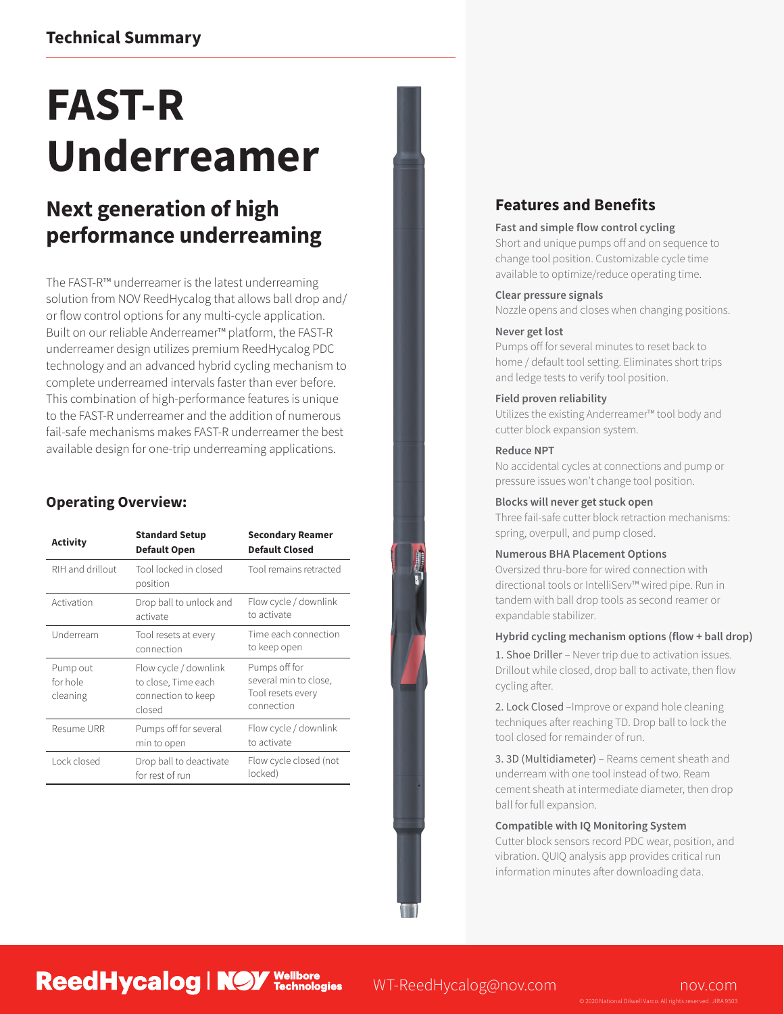## **Technical Summary**

# **FAST-R Underreamer**

## **Next generation of high performance underreaming**

The FAST-R™ underreamer is the latest underreaming solution from NOV ReedHycalog that allows ball drop and/ or flow control options for any multi-cycle application. Built on our reliable Anderreamer™ platform, the FAST-R underreamer design utilizes premium ReedHycalog PDC technology and an advanced hybrid cycling mechanism to complete underreamed intervals faster than ever before. This combination of high-performance features is unique to the FAST-R underreamer and the addition of numerous fail-safe mechanisms makes FAST-R underreamer the best available design for one-trip underreaming applications.

### **Operating Overview:**

| Activity                         | <b>Standard Setup</b><br><b>Default Open</b>                                 | <b>Secondary Reamer</b><br><b>Default Closed</b>                          |
|----------------------------------|------------------------------------------------------------------------------|---------------------------------------------------------------------------|
| RIH and drillout                 | Tool locked in closed<br>position                                            | Tool remains retracted                                                    |
| Activation                       | Drop ball to unlock and<br>activate                                          | Flow cycle / downlink<br>to activate                                      |
| Underream                        | Tool resets at every<br>connection                                           | Time each connection<br>to keep open                                      |
| Pump out<br>for hole<br>cleaning | Flow cycle / downlink<br>to close, Time each<br>connection to keep<br>closed | Pumps off for<br>several min to close,<br>Tool resets every<br>connection |
| Resume URR                       | Pumps off for several<br>min to open                                         | Flow cycle / downlink<br>to activate                                      |
| Lock closed                      | Drop ball to deactivate<br>for rest of run                                   | Flow cycle closed (not<br>locked)                                         |

**ReedHycalog | NOY Technologies** 

## **Features and Benefits**

#### **Fast and simple flow control cycling**

Short and unique pumps off and on sequence to change tool position. Customizable cycle time available to optimize/reduce operating time.

#### **Clear pressure signals**

Nozzle opens and closes when changing positions.

#### **Never get lost**

Pumps off for several minutes to reset back to home / default tool setting. Eliminates short trips and ledge tests to verify tool position.

#### **Field proven reliability**

Utilizes the existing Anderreamer™ tool body and cutter block expansion system.

#### **Reduce NPT**

No accidental cycles at connections and pump or pressure issues won't change tool position.

#### **Blocks will never get stuck open**

Three fail-safe cutter block retraction mechanisms: spring, overpull, and pump closed.

#### **Numerous BHA Placement Options**

Oversized thru-bore for wired connection with directional tools or IntelliServ™ wired pipe. Run in tandem with ball drop tools as second reamer or expandable stabilizer.

#### **Hybrid cycling mechanism options (flow + ball drop)**

1. Shoe Driller – Never trip due to activation issues. Drillout while closed, drop ball to activate, then flow cycling after.

2. Lock Closed –Improve or expand hole cleaning techniques after reaching TD. Drop ball to lock the tool closed for remainder of run.

3. 3D (Multidiameter) – Reams cement sheath and underream with one tool instead of two. Ream cement sheath at intermediate diameter, then drop ball for full expansion.

#### **Compatible with IQ Monitoring System**

Cutter block sensors record PDC wear, position, and vibration. QUIQ analysis app provides critical run information minutes after downloading data.

WT-ReedHycalog@nov.com nov.com